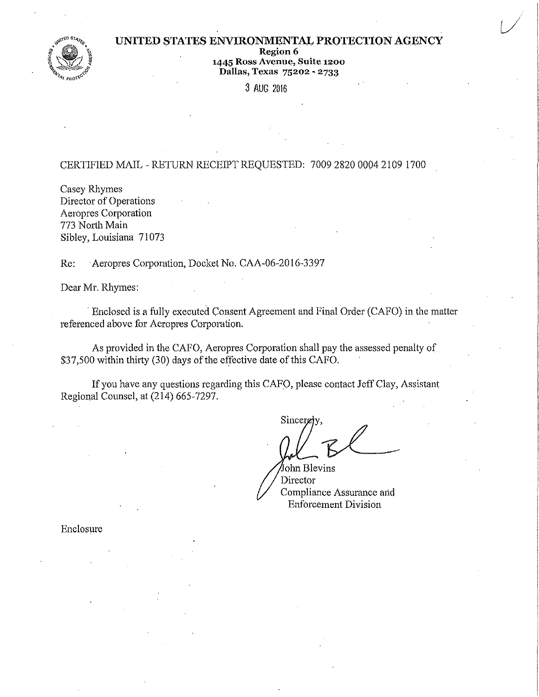## UNITED STATES ENVIRONMENTAL PROTECTION AGENCY

Region 6



# 1445 Ross Avenue, Suite 1200 Dallas, Texas 75202 - 2733

3 AUG 2016

# CERTIFIED MAIL- RETURN RECEIPT REQUESTED: 7009 2820 0004 2109 1700

Casey Rhymes Director of Operations Aeropres Corporation 773 North Main Sibley, Louisiana 71073

Re: Aeropres Corporation, Docket No. CAA-06-2016-3397

Dear Mr. Rhymes:

Enclosed is a fully executed Consent Agreement and Final Order (CAFO) in the matter referenced above for Aeropres Corporation.

As provided in the CAFO, Aeropres Corporation shall pay the assessed penalty of \$37,500 within thirty (30) days of the effective date of this CAFO.

If you have any questions regarding this CAFO, please contact Jeff Clay, Assistant Regional Counsel, at (214) 665-7297.

 $Sineer$   $\theta$ 

olmBlevins Director Compliance Assurance and Enforcement Division

Enclosure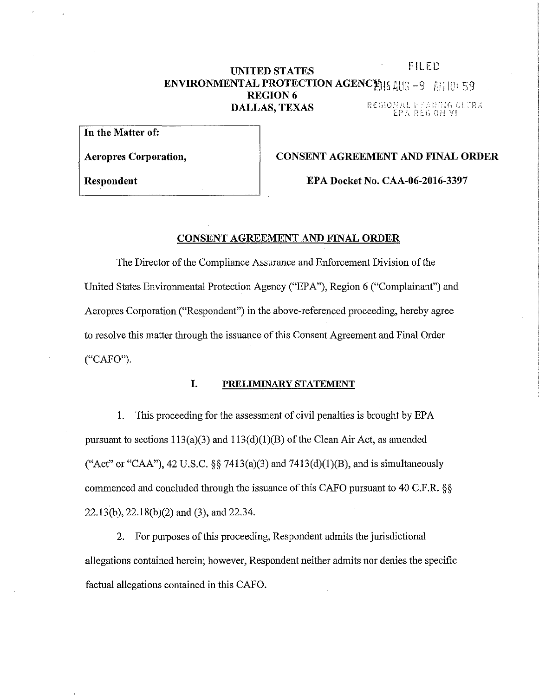# **UNITED STATES** FILED **ENVIRONMENTAL PROTECTION AGENCY 16 AUG -9 AM 10: 59 REGION 6**<br>**DALLAS, TEXAS DALLAS, TEXAS** REGIONAL REARDIG CLERX<br>EPA REGION VI

**In the Matter of:** 

**Aeropres Corporation, CONSENT AGREEMENT AND FINAL ORDER** 

**Respondent EPA Docket No. CAA-06-2016-3397** 

### **CONSENT AGREEMENT AND FINAL ORDER**

The Director of the Compliance Assurance and Enforcement Division of the United States Environmental Protection Agency ("EPA"), Region 6 ("Complainant") and Aeropres Corporation ("Respondent") in the above-referenced proceeding, hereby agree to resolve this matter through the issuance of this Consent Agreement and Final Order ("CAFO").

# **I. PRELIMINARY STATEMENT**

1. This proceeding for the assessment of civil penalties is brought by EPA pursuant to sections  $113(a)(3)$  and  $113(d)(1)(B)$  of the Clean Air Act, as amended ("Act" or "CAA"), 42 U.S.C. §§ 7413(a)(3) and 7413(d)(1)(B), and is simultaneously commenced and concluded through the issuance of this CAFO pursuant to 40 C.F.R. §§ 22.13(b), 22.18(b)(2) and (3), and 22.34.

2. For purposes of this proceeding, Respondent admits the jurisdictional allegations contained herein; however, Respondent neither admits nor denies the specific factual allegations contained in this CAFO.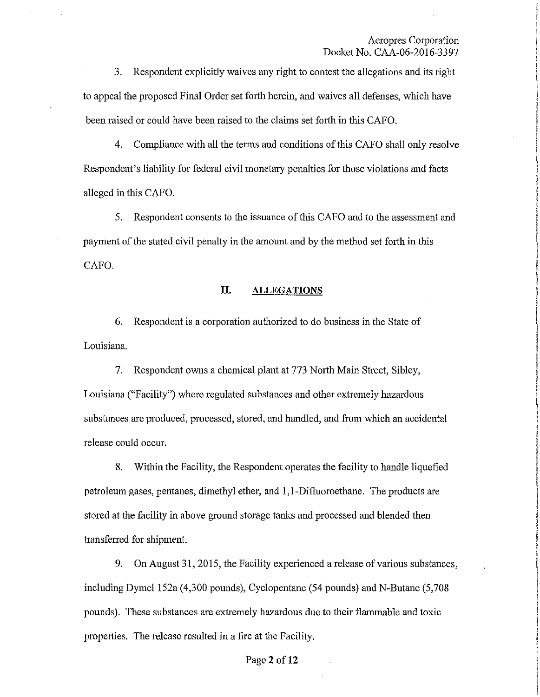3. Respondent explicitly waives any right to contest the allegations and its right to appeal the proposed Final Order set forth herein, and waives all defenses, which have been raised or could have been raised to the claims set forth in this CAFO.

4. Compliance with all the terms and conditions of this CAFO shall only resolve Respondent's liability for federal civil monetary penalties for those violations and facts alleged in this CAFO.

5. Respondent consents to the issuance of this CAFO and to the assessment and payment of the stated civil penalty in the amount and by the method set forth in this CAFO.

### **II. ALLEGATIONS**

6. Respondent is a corporation authorized to do business in the State of Louisiana.

7. Respondent owns a chemical plant at 773 North Main Street, Sibley, Louisiana ("Facility") whete regulated substances and other extremely hazardous substances are produced, processed, stored, and handled, and from which an accidental release could occur.

8. Within the Facility, the Respondent operates the facility to handle liquefied petroleum gases, pentanes, dimethyl ether, and 1, 1-Difl.uoroethane. The products are stored at the facility in above ground storage tanks and processed and blended then transferred for shipment.

9. On August 31,2015, the Facility experienced a release of various substances, including Dymel 152a (4,300 pounds), Cyclopentane (54 pounds) and N-Butane (5,708 pounds). These substances are extremely hazardous due to their flammable and toxic properties. The release resulted in a fire at the Facility.

#### Page2 **of12**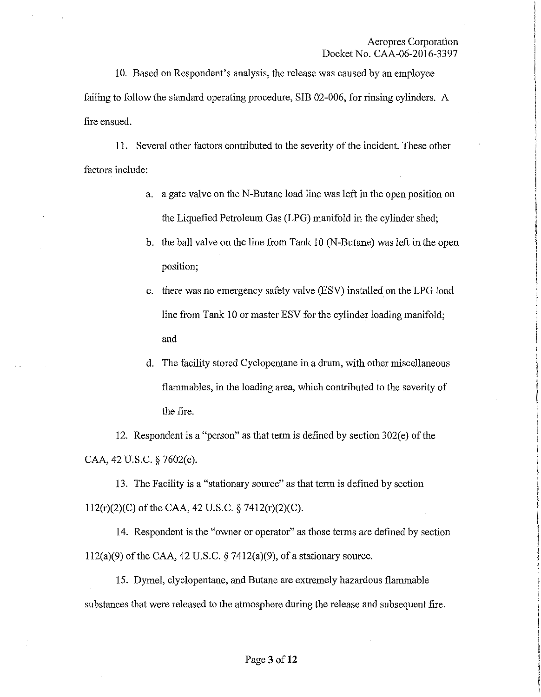10. Based on Respondent's analysis, the release was caused by an employee failing to follow the standard operating procedure, SIB 02-006, for rinsing cylinders. A fire ensued.

11. Several other factors contributed to the severity of the incident. These other factors include:

- a. a gate valve on the N-Butane load line was left in the open position on the Liquefied Petroleum Gas (LPG) manifold in the cylinder shed;
- b. the ball valve on the line from Tank 10 (N-Butane) was left in the open position;
- c. there was no emergency safety valve (ESV) installed on the LPG load line from Tank 10 or master ESV for the cylinder loading manifold; and
- d. The facility stored Cyclopentane in a drum, with other miscellaneous flammables, in the loading area, which contributed to the severity of the fire.

12. Respondent is a "person" as that term is defined by section 302(e) of the CAA, 42 U.S.C. § 7602(e).

13. The Facility is a "stationary source" as that term is defined by section 112(r)(2)(C) of the CAA, 42 U.S.C. § 7412(r)(2)(C).

14. Respondent is the "owner or operator" as those terms are defmed by section  $112(a)(9)$  of the CAA, 42 U.S.C. § 7412(a)(9), of a stationary source.

15. Dymel, clyclopentane, and Butane are extremely hazardous flammable substances that were released to the atmosphere during the release and subsequent fire.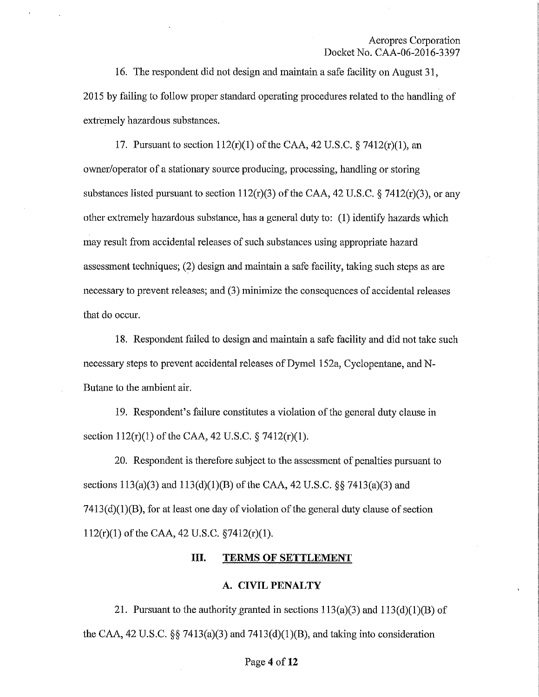16. The respondent did not design and maintain a safe facility on August 31, 2015 by failing to follow proper standard operating procedures related to the handling of extremely hazardous substances.

17. Pursuant to section  $112(r)(1)$  of the CAA, 42 U.S.C. § 7412 $(r)(1)$ , an owner/operator of a stationary source producing, processing, handling or storing substances listed pursuant to section  $112(r)(3)$  of the CAA, 42 U.S.C. § 7412 $(r)(3)$ , or any other extremely hazardous substance, has a general duty to: (I) identify hazards which may result from accidental releases of such substances using appropriate hazard assessment techniques; (2) design and maintain a safe facility, taking such steps as are necessary to prevent releases; and (3) minimize the consequences of accidental releases that do occur.

18. Respondent failed to design and maintain a safe facility and did not take such necessary steps to prevent accidental releases of Dymel 152a, Cyclopentane, and N-Butane to the ambient air.

19. Respondent's failure constitutes a violation of the general duty clause in section 112(r)(1) of the CAA, 42 U.S.C. § 7412(r)(1).

20. Respondent is therefore subject to the assessment of penalties pursuant to sections  $113(a)(3)$  and  $113(d)(1)(B)$  of the CAA, 42 U.S.C. §§ 7413(a)(3) and  $7413(d)(1)(B)$ , for at least one day of violation of the general duty clause of section 112(r)(1) of the CAA, 42 U.S.C. §7412(r)(l).

# **III. TERMS OF SETTLEMENT**

### **A. CIVIL PENALTY**

21. Pursuant to the authority granted in sections  $113(a)(3)$  and  $113(d)(1)(B)$  of the CAA, 42 U.S.C.  $\S$  7413(a)(3) and 7413(d)(1)(B), and taking into consideration

#### Page 4 of 12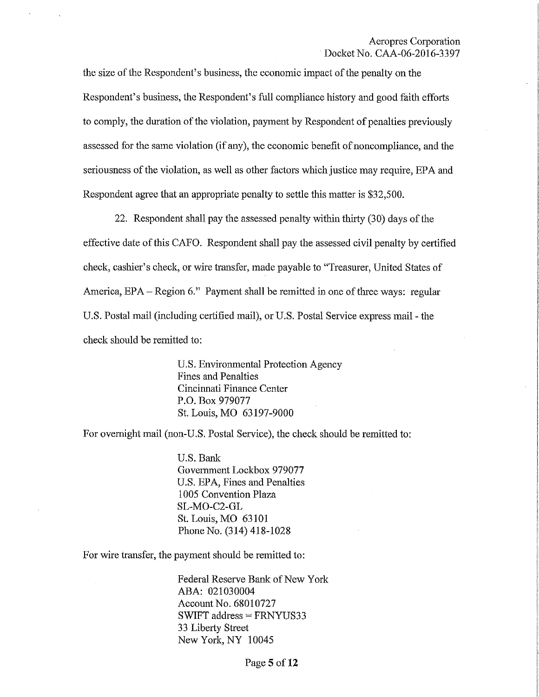the size of the Respondent's business, the economic impact of the penalty on the Respondent's business, the Respondent's full compliance history and good faith efforts to comply, the duration of the violation, payment by Respondent of penalties previously assessed for the same violation (if any), the economic benefit of noncompliance, and the seriousness of the violation, as well as other factors which justice may require, EPA and Respondent agree that an appropriate penalty to settle this matter is \$32,500.

22. Respondent shall pay the assessed penalty within thirty (30) days of the effective date of this CAFO. Respondent shall pay the assessed civil penalty by certified check, cashier's check, or wire transfer, made payable to "Treasurer, United States of America,  $EPA - Region 6."$  Payment shall be remitted in one of three ways: regular U.S. Postal mail (including certified mail), or U.S. Postal Service express mail - the check should be remitted to:

> U.S. Environmental Protection Agency Fines and Penalties Cincinnati Finance Center P.O. Box 979077 St. Louis, MO 63197-9000

For overnight mail (non-U.S. Postal Service), the check should be remitted to:

U.S. Bank Government Lockbox 979077 U.S. EPA, Fines and Penalties 1005 Convention Plaza SL-MO-C2-GL St. Louis, MO 63101 Phone No. (314) 418-1028

For wire transfer, the payment should be remitted to:

Federal Reserve Bank of New York ABA: 021030004 Account No. 68010727 SWIFT address = FRNYUS33 33 Liberty Street NewYork,NY 10045

Page **5 of12**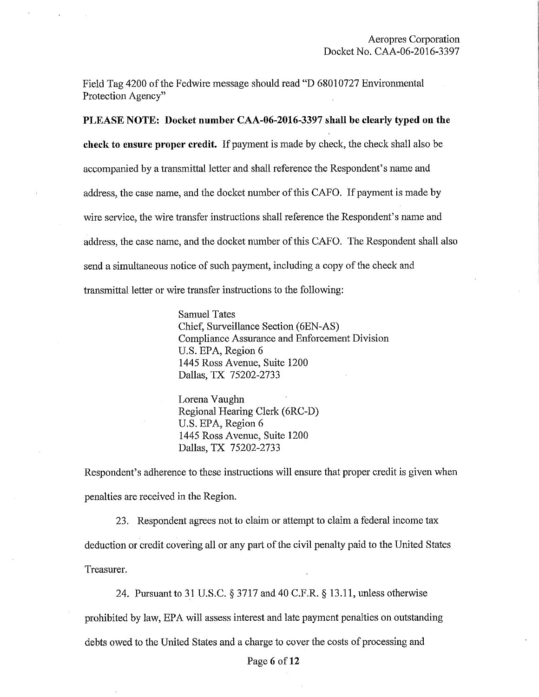Field Tag 4200 of the Fedwire message should read **"D** 68010727 Environmental Protection Agency"

**PLEASE NOTE: Docket number CAA-06-2016-3397 shall be clearly typed on the check to ensure proper credit.** If payment is made by check, the check shall also be accompanied by a transmittal letter and shall reference the Respondent's name and address, the case name, and the docket number of this CAFO. If payment is made by wire service, the wire transfer instructions shall reference the Respondent's name and address, the case name, and the docket number of this CAFO. The Respondent shall also send a simultaneous notice of such payment, including a copy of the check and transmittal letter or wire transfer instructions to the following:

> Samuel Tates Chief, Surveillance Section (6EN-AS) Compliance Assurance and Enforcement Division U.S. EPA, Region 6 1445 Ross Avenue, Suite 1200 Dallas, TX 75202-2733

Lorena Vaughn Regional Hearing Clerk (6RC-D) U.S. EPA, Region 6 1445 Ross Avenue, Suite 1200 Dallas, TX 75202-2733

Respondent's adherence to these instructions will ensure that proper credit is given when penalties are received in the Region.

23. Respondent agrees not to claim or attempt to claim a federal income tax deduction or credit covering all or any part of the civil penalty paid to the United States Treasurer.

24. Pursuant to 31 U.S.C. § 3717 and 40 C.F.R. § 13.11, unless otherwise prohibited by law, EPA will assess interest and late payment penalties on outstanding debts owed to the United States and a charge to cover the costs of processing and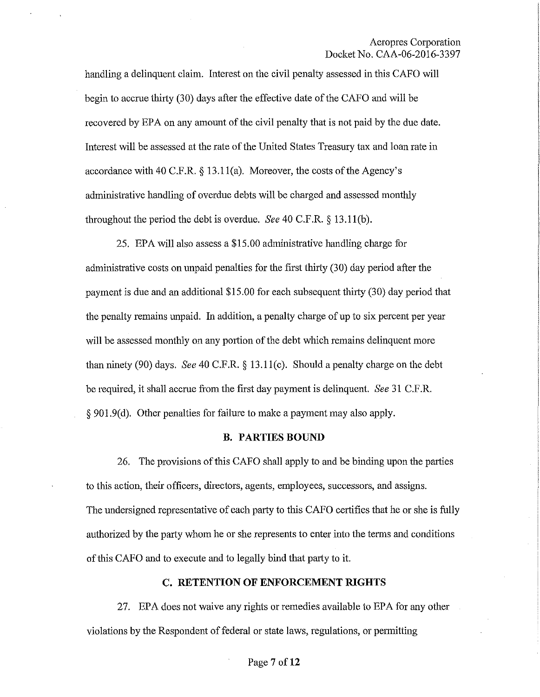handling a delinquent claim. Interest on the civil penalty assessed in this CAPO will begin to accme thhty (30) days after the effective date of the *CAPO* and will be recovered by EPA on any amount of the civil penalty that is not paid by the due date. Interest will be assessed at the rate of the United States Treasury tax and loan rate in accordance with 40 *C.P.R.§* 13.ll(a). Moreover, the costs of the Agency's administrative handling of overdue debts will be charged and assessed monthly throughout the period the debt is overdue. *See* 40 C.P.R.§ 13.ll(b).

25. EPA will also assess a \$15.00 administrative handling charge for administrative costs on unpaid penalties for the first thirty (30) day period after the payment is due and an additional  $$15.00$  for each subsequent thirty (30) day period that the penalty remains unpaid. In addition, a penalty charge of up to six percent per year will be assessed monthly on any portion of the debt which remains delinquent more than ninety (90) days. *See* 40 *C.P.R.§* 13.ll(c). Should a penalty charge on the debt be required, it shall accrue from the first day payment is delinquent. *See* 31 C.F.R. § 901.9(d). Other penalties for failure to make a payment may also apply.

### **B. PARTIES BOUND**

26. The provisions of this CAPO shall apply to and be binding upon the parties to this action, their officers, directors, agents, employees, successors, and assigns. The undersigned representative of each party to this CAPO certifies that he or she is fully authorized by the party whom he or she represents to enter into the terms and conditions of this CAPO and to execute and to legally bind that party to it.

#### **C. RETENTION OF ENFORCEMENT RIGHTS**

27. EPA does not waive any rights or remedies available to EPA for any other violations by the Respondent of federal or state laws, regulations, or permitting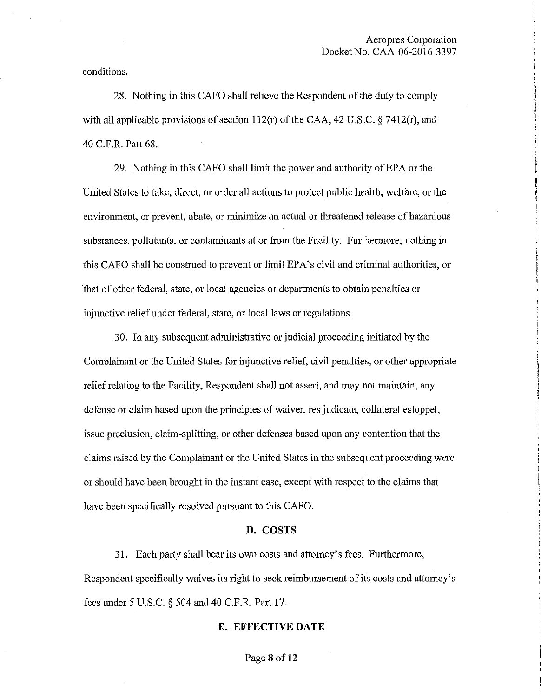conditions.

28. Nothing in this CAFO shall relieve the Respondent of the duty to comply with all applicable provisions of section  $112(r)$  of the CAA, 42 U.S.C. § 7412 $(r)$ , and 40 C.F.R. Part 68.

29. Nothing in this CAFO shall limit the power and authority of EPA or the United States to take, direct, or order all actions to protect public health, welfare, or the environment, or prevent, abate, or minimize an actual or threatened release of hazardous substances, pollutants, or contaminants at or from the Facility. Furthermore, nothing in this CAFO shall be construed to prevent or limit EPA's civil and criminal authorities, or that of other federal, state, or local agencies or departments to obtain penalties or injunctive relief under federal, state, or local laws or regulations.

30. In any subsequent administrative or judicial proceeding initiated by the Complainant or the United States for injunctive relief, civil penalties, or other appropriate relief relating to the Facility, Respondent shall not assert, and may not maintain, any defense or claim based upon the principles of waiver, res judicata, collateral estoppel, issue preclusion, claim-splitting, or other defenses based upon any contention that the claims raised by the Complainant or the United States in the subsequent proceeding were or should have been brought in the instant case, except with respect to the claims that have been specifically resolved pursuant to this CAFO.

### **D. COSTS**

31. Each party shall bear its owu costs and attorney's fees. Furthermore, Respondent specifically waives its right to seek reimbursement of its costs and attorney's fees under 5 U.S.C. § 504 and 40 C.F.R. Part 17.

### **E. EFFECTIVE DATE**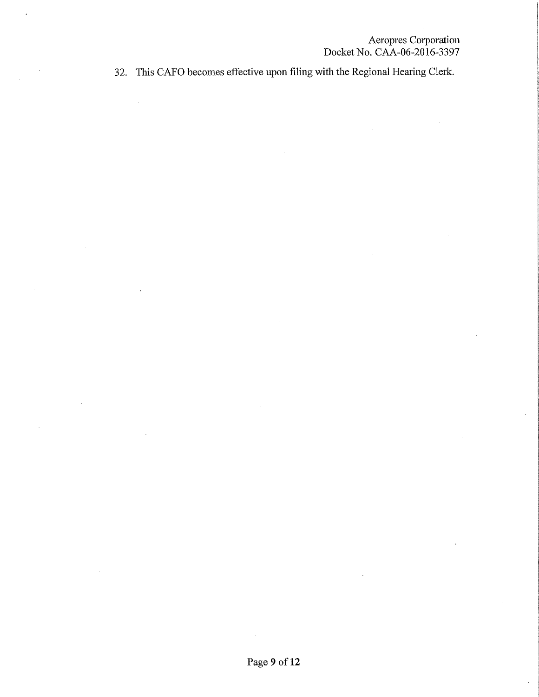32. This CAFO becomes effective upon filing with the Regional Hearing Clerk.

Ŷ,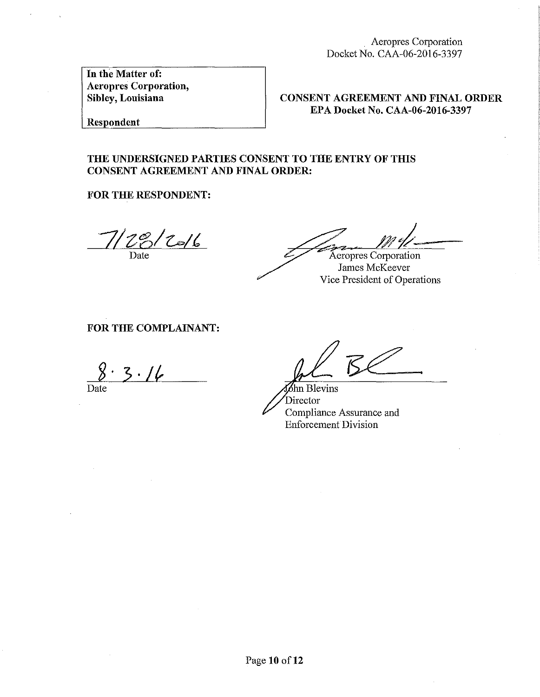Aeropres Corporation Docket No. CAA-06-2016-3397

In the Matter of: Aeropres Corporation, Sibley, Louisiana

CONSENT AGREEMENT AND FINAL ORDER EPA Docket No. CAA-06-2016-3397

Respondent

# THE UNDERSIGNED PARTIES CONSENT TO THE ENTRY OF THIS CONSENT AGREEMENT AND FINAL ORDER:

FOR THE RESPONDENT:

 $28/20/6$ Date

Aeropres Corporation

James McKeever Vice President of Operations

# FOR THE COMPLAINANT:

 $3.16$ Date

hn Blevins Director Compliance Assurance and Enforcement Division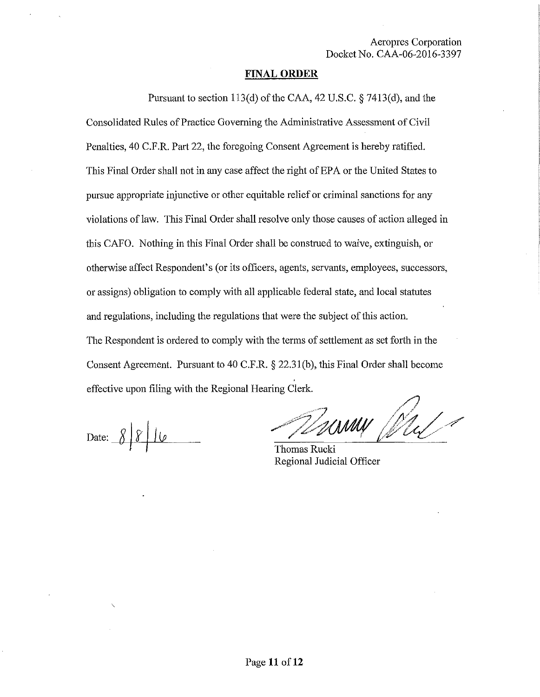### **FINAL ORDER**

Pursuant to section 113(d) of the CAA, 42 U.S.C. § 7413(d), and the Consolidated Rules of Practice Governing the Administrative Assessment of Civil Penalties, 40 C.P.R. Part 22, the foregoing Consent Agreement is hereby ratified. This Final Order shall not in any case affect the right of EPA or the United States to pursue appropriate injunctive or other equitable relief or criminal sanctions for any violations of law. This Final Order shall resolve only those causes of action alleged in this CAPO. Nothing in this Final Order shall be construed to waive, extinguish, or otherwise affect Respondent's (or its officers, agents, servants, employees, successors, or assigns) obligation to comply with all applicable federal state, and local statutes and regulations, including the regulations that were the subject of this action. The Respondent is ordered to comply with the terms of settlement as set forth in the Consent Agreement. Pursuant to 40 C.F .R. § 22.31 (b), this Final Order shall become effective upon filing with the Regional Hearing Clerk.

Date:  $8816$ 

WWWW Ml

Regional Judicial Officer